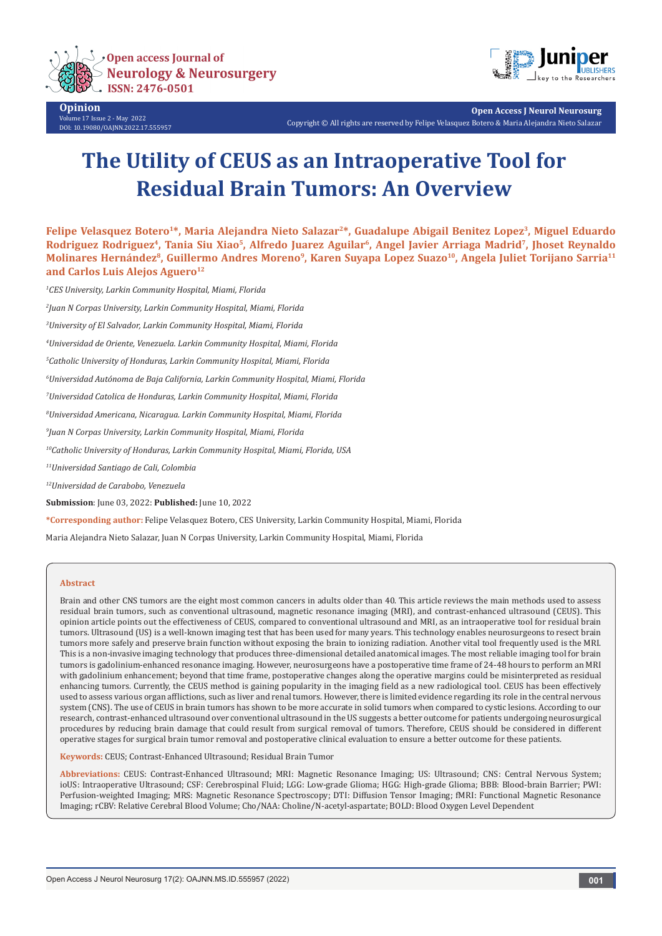



**Opinion** Volume 17 Issue 2 - May 2022 DOI: [10.19080/OAJNN.2022.17.555957](http://dx.doi.org/10.19080/OAJNN.2022.17.555957)

**Open Access J Neurol Neurosurg** Copyright © All rights are reserved by Felipe Velasquez Botero & Maria Alejandra Nieto Salazar

# **The Utility of CEUS as an Intraoperative Tool for Residual Brain Tumors: An Overview**

Felipe Velasquez Botero<sup>1\*</sup>, Maria Alejandra Nieto Salazar<sup>2\*</sup>, Guadalupe Abigail Benitez Lopez<sup>3</sup>, Miguel Eduardo Rodriguez Rodriguez<sup>4</sup>, Tania Siu Xiao<sup>5</sup>, Alfredo Juarez Aguilar<sup>6</sup>, Angel Javier Arriaga Madrid<sup>7</sup>, Jhoset Reynaldo **Molinares Hernández8, Guillermo Andres Moreno9, Karen Suyapa Lopez Suazo10, Angela Juliet Torijano Sarria11** and Carlos Luis Alejos Aguero<sup>12</sup>

*1 CES University, Larkin Community Hospital, Miami, Florida*

*2 Juan N Corpas University, Larkin Community Hospital, Miami, Florida*

*3 University of El Salvador, Larkin Community Hospital, Miami, Florida*

*4 Universidad de Oriente, Venezuela. Larkin Community Hospital, Miami, Florida*

*5 Catholic University of Honduras, Larkin Community Hospital, Miami, Florida*

*6 Universidad Autónoma de Baja California, Larkin Community Hospital, Miami, Florida*

*7 Universidad Catolica de Honduras, Larkin Community Hospital, Miami, Florida*

*8 Universidad Americana, Nicaragua. Larkin Community Hospital, Miami, Florida*

*9 Juan N Corpas University, Larkin Community Hospital, Miami, Florida*

*10Catholic University of Honduras, Larkin Community Hospital, Miami, Florida, USA*

*11Universidad Santiago de Cali, Colombia*

*12Universidad de Carabobo, Venezuela*

**Submission**: June 03, 2022: **Published:** June 10, 2022

**\*Corresponding author:** Felipe Velasquez Botero, CES University, Larkin Community Hospital, Miami, Florida

Maria Alejandra Nieto Salazar, Juan N Corpas University, Larkin Community Hospital, Miami, Florida

#### **Abstract**

Brain and other CNS tumors are the eight most common cancers in adults older than 40. This article reviews the main methods used to assess residual brain tumors, such as conventional ultrasound, magnetic resonance imaging (MRI), and contrast-enhanced ultrasound (CEUS). This opinion article points out the effectiveness of CEUS, compared to conventional ultrasound and MRI, as an intraoperative tool for residual brain tumors. Ultrasound (US) is a well-known imaging test that has been used for many years. This technology enables neurosurgeons to resect brain tumors more safely and preserve brain function without exposing the brain to ionizing radiation. Another vital tool frequently used is the MRI. This is a non-invasive imaging technology that produces three-dimensional detailed anatomical images. The most reliable imaging tool for brain tumors is gadolinium-enhanced resonance imaging. However, neurosurgeons have a postoperative time frame of 24-48 hours to perform an MRI with gadolinium enhancement; beyond that time frame, postoperative changes along the operative margins could be misinterpreted as residual enhancing tumors. Currently, the CEUS method is gaining popularity in the imaging field as a new radiological tool. CEUS has been effectively used to assess various organ afflictions, such as liver and renal tumors. However, there is limited evidence regarding its role in the central nervous system (CNS). The use of CEUS in brain tumors has shown to be more accurate in solid tumors when compared to cystic lesions. According to our research, contrast-enhanced ultrasound over conventional ultrasound in the US suggests a better outcome for patients undergoing neurosurgical procedures by reducing brain damage that could result from surgical removal of tumors. Therefore, CEUS should be considered in different operative stages for surgical brain tumor removal and postoperative clinical evaluation to ensure a better outcome for these patients.

**Keywords:** CEUS; Contrast-Enhanced Ultrasound; Residual Brain Tumor

**Abbreviations:** CEUS: Contrast-Enhanced Ultrasound; MRI: Magnetic Resonance Imaging; US: Ultrasound; CNS: Central Nervous System; ioUS: Intraoperative Ultrasound; CSF: Cerebrospinal Fluid; LGG: Low-grade Glioma; HGG: High-grade Glioma; BBB: Blood-brain Barrier; PWI: Perfusion-weighted Imaging; MRS: Magnetic Resonance Spectroscopy; DTI: Diffusion Tensor Imaging; fMRI: Functional Magnetic Resonance Imaging; rCBV: Relative Cerebral Blood Volume; Cho/NAA: Choline/N-acetyl-aspartate; BOLD: Blood Oxygen Level Dependent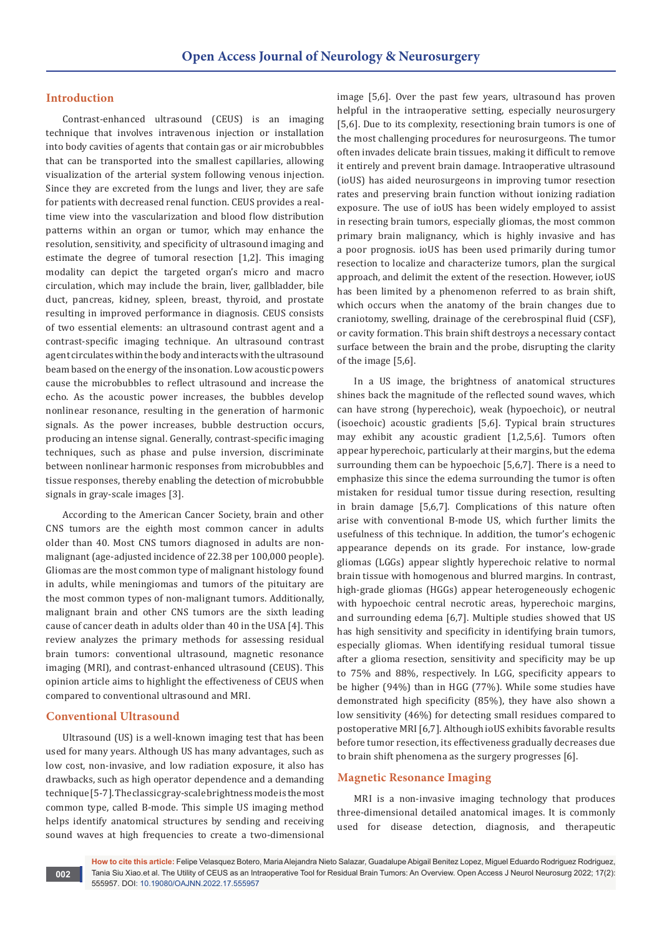#### **Introduction**

Contrast-enhanced ultrasound (CEUS) is an imaging technique that involves intravenous injection or installation into body cavities of agents that contain gas or air microbubbles that can be transported into the smallest capillaries, allowing visualization of the arterial system following venous injection. Since they are excreted from the lungs and liver, they are safe for patients with decreased renal function. CEUS provides a realtime view into the vascularization and blood flow distribution patterns within an organ or tumor, which may enhance the resolution, sensitivity, and specificity of ultrasound imaging and estimate the degree of tumoral resection [1,2]. This imaging modality can depict the targeted organ's micro and macro circulation, which may include the brain, liver, gallbladder, bile duct, pancreas, kidney, spleen, breast, thyroid, and prostate resulting in improved performance in diagnosis. CEUS consists of two essential elements: an ultrasound contrast agent and a contrast-specific imaging technique. An ultrasound contrast agent circulates within the body and interacts with the ultrasound beam based on the energy of the insonation. Low acoustic powers cause the microbubbles to reflect ultrasound and increase the echo. As the acoustic power increases, the bubbles develop nonlinear resonance, resulting in the generation of harmonic signals. As the power increases, bubble destruction occurs, producing an intense signal. Generally, contrast-specific imaging techniques, such as phase and pulse inversion, discriminate between nonlinear harmonic responses from microbubbles and tissue responses, thereby enabling the detection of microbubble signals in gray-scale images [3].

According to the American Cancer Society, brain and other CNS tumors are the eighth most common cancer in adults older than 40. Most CNS tumors diagnosed in adults are nonmalignant (age-adjusted incidence of 22.38 per 100,000 people). Gliomas are the most common type of malignant histology found in adults, while meningiomas and tumors of the pituitary are the most common types of non-malignant tumors. Additionally, malignant brain and other CNS tumors are the sixth leading cause of cancer death in adults older than 40 in the USA [4]. This review analyzes the primary methods for assessing residual brain tumors: conventional ultrasound, magnetic resonance imaging (MRI), and contrast-enhanced ultrasound (CEUS). This opinion article aims to highlight the effectiveness of CEUS when compared to conventional ultrasound and MRI.

#### **Conventional Ultrasound**

Ultrasound (US) is a well-known imaging test that has been used for many years. Although US has many advantages, such as low cost, non-invasive, and low radiation exposure, it also has drawbacks, such as high operator dependence and a demanding technique [5-7]. The classic gray-scale brightness mode is the most common type, called B-mode. This simple US imaging method helps identify anatomical structures by sending and receiving sound waves at high frequencies to create a two-dimensional

image [5,6]. Over the past few years, ultrasound has proven helpful in the intraoperative setting, especially neurosurgery [5,6]. Due to its complexity, resectioning brain tumors is one of the most challenging procedures for neurosurgeons. The tumor often invades delicate brain tissues, making it difficult to remove it entirely and prevent brain damage. Intraoperative ultrasound (ioUS) has aided neurosurgeons in improving tumor resection rates and preserving brain function without ionizing radiation exposure. The use of ioUS has been widely employed to assist in resecting brain tumors, especially gliomas, the most common primary brain malignancy, which is highly invasive and has a poor prognosis. ioUS has been used primarily during tumor resection to localize and characterize tumors, plan the surgical approach, and delimit the extent of the resection. However, ioUS has been limited by a phenomenon referred to as brain shift, which occurs when the anatomy of the brain changes due to craniotomy, swelling, drainage of the cerebrospinal fluid (CSF), or cavity formation. This brain shift destroys a necessary contact surface between the brain and the probe, disrupting the clarity of the image [5,6].

In a US image, the brightness of anatomical structures shines back the magnitude of the reflected sound waves, which can have strong (hyperechoic), weak (hypoechoic), or neutral (isoechoic) acoustic gradients [5,6]. Typical brain structures may exhibit any acoustic gradient [1,2,5,6]. Tumors often appear hyperechoic, particularly at their margins, but the edema surrounding them can be hypoechoic [5,6,7]. There is a need to emphasize this since the edema surrounding the tumor is often mistaken for residual tumor tissue during resection, resulting in brain damage [5,6,7]. Complications of this nature often arise with conventional B-mode US, which further limits the usefulness of this technique. In addition, the tumor's echogenic appearance depends on its grade. For instance, low-grade gliomas (LGGs) appear slightly hyperechoic relative to normal brain tissue with homogenous and blurred margins. In contrast, high-grade gliomas (HGGs) appear heterogeneously echogenic with hypoechoic central necrotic areas, hyperechoic margins, and surrounding edema [6,7]. Multiple studies showed that US has high sensitivity and specificity in identifying brain tumors, especially gliomas. When identifying residual tumoral tissue after a glioma resection, sensitivity and specificity may be up to 75% and 88%, respectively. In LGG, specificity appears to be higher (94%) than in HGG (77%). While some studies have demonstrated high specificity (85%), they have also shown a low sensitivity (46%) for detecting small residues compared to postoperative MRI [6,7]. Although ioUS exhibits favorable results before tumor resection, its effectiveness gradually decreases due to brain shift phenomena as the surgery progresses [6].

#### **Magnetic Resonance Imaging**

MRI is a non-invasive imaging technology that produces three-dimensional detailed anatomical images. It is commonly used for disease detection, diagnosis, and therapeutic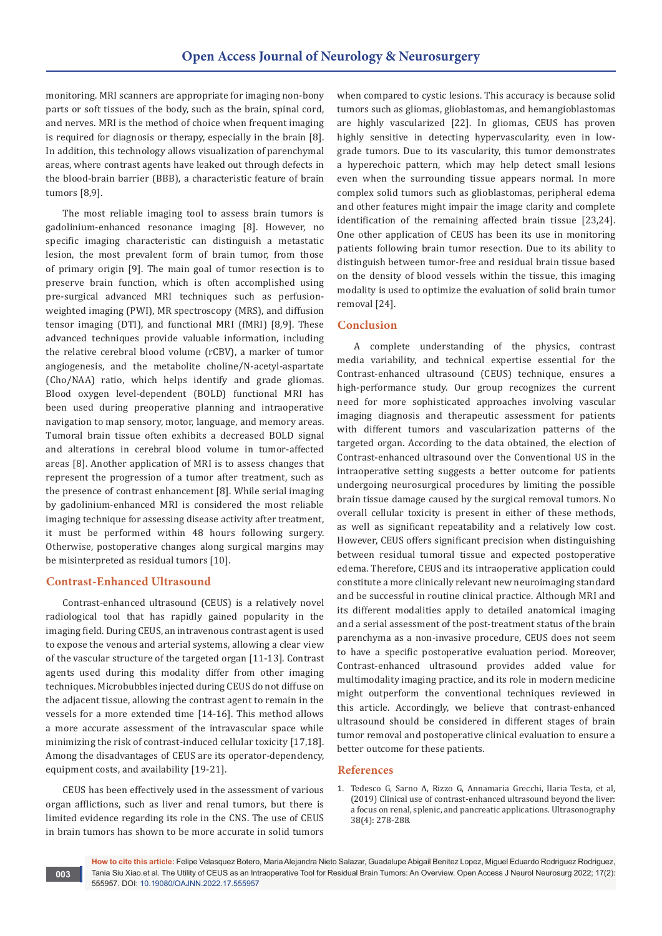monitoring. MRI scanners are appropriate for imaging non-bony parts or soft tissues of the body, such as the brain, spinal cord, and nerves. MRI is the method of choice when frequent imaging is required for diagnosis or therapy, especially in the brain [8]. In addition, this technology allows visualization of parenchymal areas, where contrast agents have leaked out through defects in the blood-brain barrier (BBB), a characteristic feature of brain tumors [8,9].

The most reliable imaging tool to assess brain tumors is gadolinium-enhanced resonance imaging [8]. However, no specific imaging characteristic can distinguish a metastatic lesion, the most prevalent form of brain tumor, from those of primary origin [9]. The main goal of tumor resection is to preserve brain function, which is often accomplished using pre-surgical advanced MRI techniques such as perfusionweighted imaging (PWI), MR spectroscopy (MRS), and diffusion tensor imaging (DTI), and functional MRI (fMRI) [8,9]. These advanced techniques provide valuable information, including the relative cerebral blood volume (rCBV), a marker of tumor angiogenesis, and the metabolite choline/N-acetyl-aspartate (Cho/NAA) ratio, which helps identify and grade gliomas. Blood oxygen level-dependent (BOLD) functional MRI has been used during preoperative planning and intraoperative navigation to map sensory, motor, language, and memory areas. Tumoral brain tissue often exhibits a decreased BOLD signal and alterations in cerebral blood volume in tumor-affected areas [8]. Another application of MRI is to assess changes that represent the progression of a tumor after treatment, such as the presence of contrast enhancement [8]. While serial imaging by gadolinium-enhanced MRI is considered the most reliable imaging technique for assessing disease activity after treatment, it must be performed within 48 hours following surgery. Otherwise, postoperative changes along surgical margins may be misinterpreted as residual tumors [10].

#### **Contrast-Enhanced Ultrasound**

Contrast-enhanced ultrasound (CEUS) is a relatively novel radiological tool that has rapidly gained popularity in the imaging field. During CEUS, an intravenous contrast agent is used to expose the venous and arterial systems, allowing a clear view of the vascular structure of the targeted organ [11-13]. Contrast agents used during this modality differ from other imaging techniques. Microbubbles injected during CEUS do not diffuse on the adjacent tissue, allowing the contrast agent to remain in the vessels for a more extended time [14-16]. This method allows a more accurate assessment of the intravascular space while minimizing the risk of contrast-induced cellular toxicity [17,18]. Among the disadvantages of CEUS are its operator-dependency, equipment costs, and availability [19-21].

CEUS has been effectively used in the assessment of various organ afflictions, such as liver and renal tumors, but there is limited evidence regarding its role in the CNS. The use of CEUS in brain tumors has shown to be more accurate in solid tumors when compared to cystic lesions. This accuracy is because solid tumors such as gliomas, glioblastomas, and hemangioblastomas are highly vascularized [22]. In gliomas, CEUS has proven highly sensitive in detecting hypervascularity, even in lowgrade tumors. Due to its vascularity, this tumor demonstrates a hyperechoic pattern, which may help detect small lesions even when the surrounding tissue appears normal. In more complex solid tumors such as glioblastomas, peripheral edema and other features might impair the image clarity and complete identification of the remaining affected brain tissue [23,24]. One other application of CEUS has been its use in monitoring patients following brain tumor resection. Due to its ability to distinguish between tumor-free and residual brain tissue based on the density of blood vessels within the tissue, this imaging modality is used to optimize the evaluation of solid brain tumor removal [24].

## **Conclusion**

A complete understanding of the physics, contrast media variability, and technical expertise essential for the Contrast-enhanced ultrasound (CEUS) technique, ensures a high-performance study. Our group recognizes the current need for more sophisticated approaches involving vascular imaging diagnosis and therapeutic assessment for patients with different tumors and vascularization patterns of the targeted organ. According to the data obtained, the election of Contrast-enhanced ultrasound over the Conventional US in the intraoperative setting suggests a better outcome for patients undergoing neurosurgical procedures by limiting the possible brain tissue damage caused by the surgical removal tumors. No overall cellular toxicity is present in either of these methods, as well as significant repeatability and a relatively low cost. However, CEUS offers significant precision when distinguishing between residual tumoral tissue and expected postoperative edema. Therefore, CEUS and its intraoperative application could constitute a more clinically relevant new neuroimaging standard and be successful in routine clinical practice. Although MRI and its different modalities apply to detailed anatomical imaging and a serial assessment of the post-treatment status of the brain parenchyma as a non-invasive procedure, CEUS does not seem to have a specific postoperative evaluation period. Moreover, Contrast-enhanced ultrasound provides added value for multimodality imaging practice, and its role in modern medicine might outperform the conventional techniques reviewed in this article. Accordingly, we believe that contrast-enhanced ultrasound should be considered in different stages of brain tumor removal and postoperative clinical evaluation to ensure a better outcome for these patients.

## **References**

1. [Tedesco G, Sarno A, Rizzo G, Annamaria Grecchi, Ilaria Testa, et al,](https://pubmed.ncbi.nlm.nih.gov/31230431/)  [\(2019\) Clinical use of contrast-enhanced ultrasound beyond the liver:](https://pubmed.ncbi.nlm.nih.gov/31230431/)  [a focus on renal, splenic, and pancreatic applications. Ultrasonography](https://pubmed.ncbi.nlm.nih.gov/31230431/)  [38\(4\): 278-288.](https://pubmed.ncbi.nlm.nih.gov/31230431/)